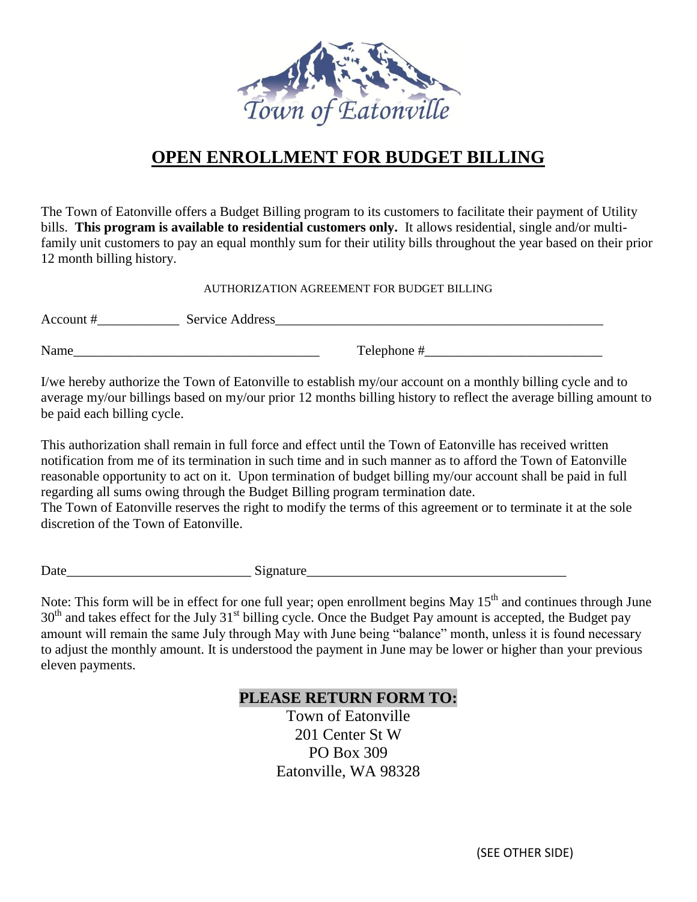

## **OPEN ENROLLMENT FOR BUDGET BILLING**

The Town of Eatonville offers a Budget Billing program to its customers to facilitate their payment of Utility bills. **This program is available to residential customers only.** It allows residential, single and/or multifamily unit customers to pay an equal monthly sum for their utility bills throughout the year based on their prior 12 month billing history.

AUTHORIZATION AGREEMENT FOR BUDGET BILLING

Account #\_\_\_\_\_\_\_\_\_\_\_\_ Service Address\_\_\_\_\_\_\_\_\_\_\_\_\_\_\_\_\_\_\_\_\_\_\_\_\_\_\_\_\_\_\_\_\_\_\_\_\_\_\_\_\_\_\_\_\_\_\_\_

Name\_\_\_\_\_\_\_\_\_\_\_\_\_\_\_\_\_\_\_\_\_\_\_\_\_\_\_\_\_\_\_\_\_\_\_\_ Telephone #\_\_\_\_\_\_\_\_\_\_\_\_\_\_\_\_\_\_\_\_\_\_\_\_\_\_

I/we hereby authorize the Town of Eatonville to establish my/our account on a monthly billing cycle and to average my/our billings based on my/our prior 12 months billing history to reflect the average billing amount to be paid each billing cycle.

This authorization shall remain in full force and effect until the Town of Eatonville has received written notification from me of its termination in such time and in such manner as to afford the Town of Eatonville reasonable opportunity to act on it. Upon termination of budget billing my/our account shall be paid in full regarding all sums owing through the Budget Billing program termination date.

The Town of Eatonville reserves the right to modify the terms of this agreement or to terminate it at the sole discretion of the Town of Eatonville.

Date Signature

Note: This form will be in effect for one full year; open enrollment begins May 15<sup>th</sup> and continues through June 30<sup>th</sup> and takes effect for the July 31<sup>st</sup> billing cycle. Once the Budget Pay amount is accepted, the Budget pay amount will remain the same July through May with June being "balance" month, unless it is found necessary to adjust the monthly amount. It is understood the payment in June may be lower or higher than your previous eleven payments.

## **PLEASE RETURN FORM TO:**

Town of Eatonville 201 Center St W PO Box 309 Eatonville, WA 98328

(SEE OTHER SIDE)